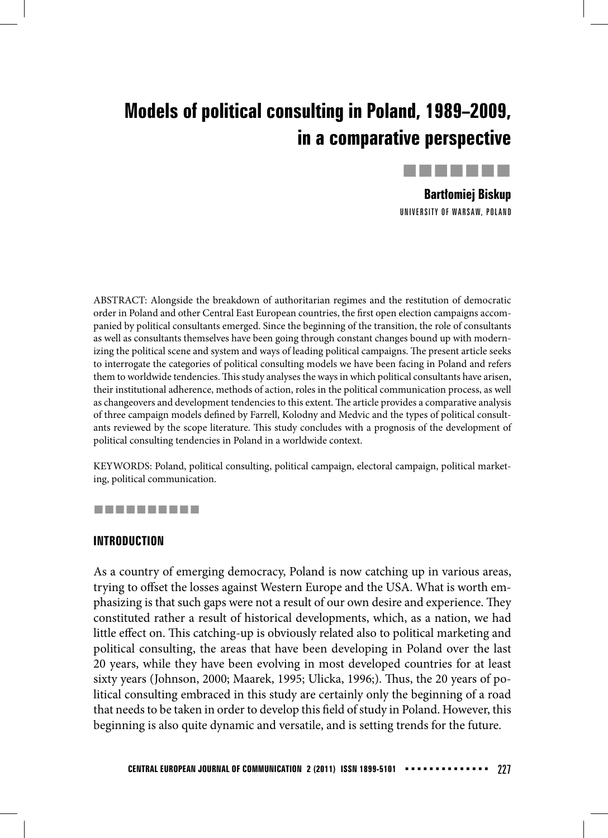# **Models of political consulting in Poland, 1989–2009, in a comparative perspective**



**Bartłomiej Biskup** UNIVERSITY OF WARSAW, POLAND

ABSTRACT: Alongside the breakdown of authoritarian regimes and the restitution of democratic order in Poland and other Central East European countries, the first open election campaigns accompanied by political consultants emerged. Since the beginning of the transition, the role of consultants as well as consultants themselves have been going through constant changes bound up with modernizing the political scene and system and ways of leading political campaigns. The present article seeks to interrogate the categories of political consulting models we have been facing in Poland and refers them to worldwide tendencies. This study analyses the ways in which political consultants have arisen, their institutional adherence, methods of action, roles in the political communication process, as well as changeovers and development tendencies to this extent. The article provides a comparative analysis of three campaign models defined by Farrell, Kolodny and Medvic and the types of political consultants reviewed by the scope literature. This study concludes with a prognosis of the development of political consulting tendencies in Poland in a worldwide context.

KEYWORDS: Poland, political consulting, political campaign, electoral campaign, political marketing, political communication.

#### ----------

## **INTRODUCTION**

As a country of emerging democracy, Poland is now catching up in various areas, trying to offset the losses against Western Europe and the USA. What is worth emphasizing is that such gaps were not a result of our own desire and experience. They constituted rather a result of historical developments, which, as a nation, we had little effect on. This catching-up is obviously related also to political marketing and political consulting, the areas that have been developing in Poland over the last 20 years, while they have been evolving in most developed countries for at least sixty years (Johnson, 2000; Maarek, 1995; Ulicka, 1996;). Thus, the 20 years of political consulting embraced in this study are certainly only the beginning of a road that needs to be taken in order to develop this field of study in Poland. However, this beginning is also quite dynamic and versatile, and is setting trends for the future.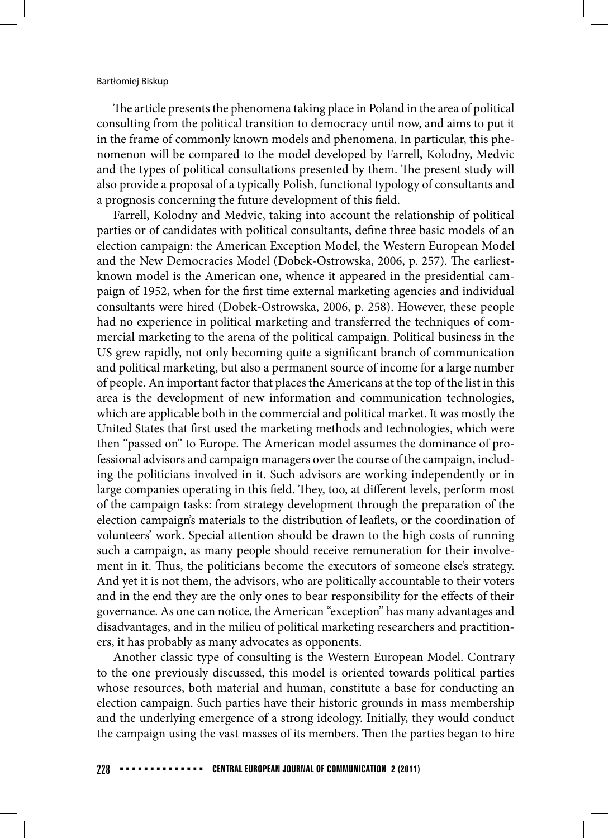The article presents the phenomena taking place in Poland in the area of political consulting from the political transition to democracy until now, and aims to put it in the frame of commonly known models and phenomena. In particular, this phenomenon will be compared to the model developed by Farrell, Kolodny, Medvic and the types of political consultations presented by them. The present study will also provide a proposal of a typically Polish, functional typology of consultants and a prognosis concerning the future development of this field.

Farrell, Kolodny and Medvic, taking into account the relationship of political parties or of candidates with political consultants, define three basic models of an election campaign: the American Exception Model, the Western European Model and the New Democracies Model (Dobek-Ostrowska, 2006, p. 257). The earliestknown model is the American one, whence it appeared in the presidential campaign of 1952, when for the first time external marketing agencies and individual consultants were hired (Dobek-Ostrowska, 2006, p. 258). However, these people had no experience in political marketing and transferred the techniques of commercial marketing to the arena of the political campaign. Political business in the US grew rapidly, not only becoming quite a significant branch of communication and political marketing, but also a permanent source of income for a large number of people. An important factor that places the Americans at the top of the list in this area is the development of new information and communication technologies, which are applicable both in the commercial and political market. It was mostly the United States that first used the marketing methods and technologies, which were then "passed on" to Europe. The American model assumes the dominance of professional advisors and campaign managers over the course of the campaign, including the politicians involved in it. Such advisors are working independently or in large companies operating in this field. They, too, at different levels, perform most of the campaign tasks: from strategy development through the preparation of the election campaign's materials to the distribution of leaflets, or the coordination of volunteers' work. Special attention should be drawn to the high costs of running such a campaign, as many people should receive remuneration for their involvement in it. Thus, the politicians become the executors of someone else's strategy. And yet it is not them, the advisors, who are politically accountable to their voters and in the end they are the only ones to bear responsibility for the effects of their governance. As one can notice, the American "exception" has many advantages and disadvantages, and in the milieu of political marketing researchers and practitioners, it has probably as many advocates as opponents.

Another classic type of consulting is the Western European Model. Contrary to the one previously discussed, this model is oriented towards political parties whose resources, both material and human, constitute a base for conducting an election campaign. Such parties have their historic grounds in mass membership and the underlying emergence of a strong ideology. Initially, they would conduct the campaign using the vast masses of its members. Then the parties began to hire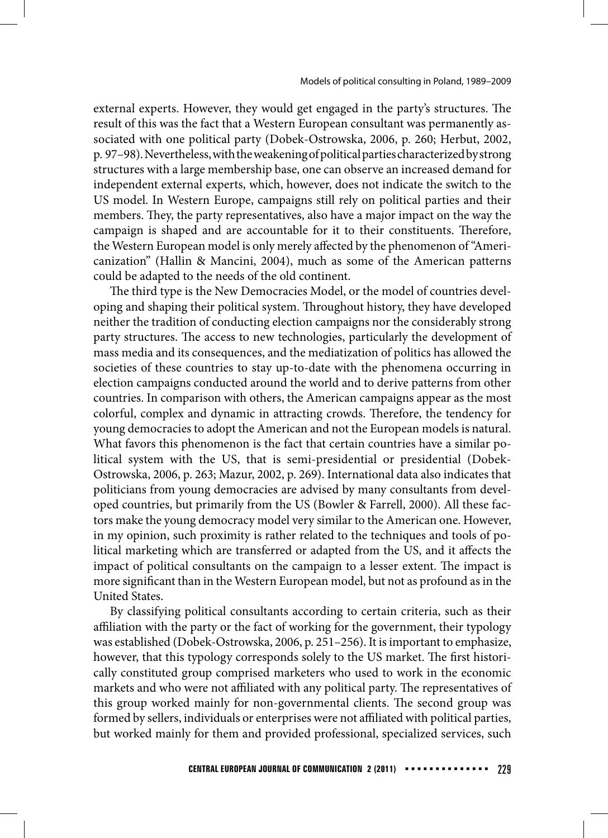external experts. However, they would get engaged in the party's structures. The result of this was the fact that a Western European consultant was permanently associated with one political party (Dobek-Ostrowska, 2006, p. 260; Herbut, 2002, p. 97–98). Nevertheless, with the weakening of political parties characterized by strong structures with a large membership base, one can observe an increased demand for independent external experts, which, however, does not indicate the switch to the US model. In Western Europe, campaigns still rely on political parties and their members. They, the party representatives, also have a major impact on the way the campaign is shaped and are accountable for it to their constituents. Therefore, the Western European model is only merely affected by the phenomenon of "Americanization" (Hallin & Mancini, 2004), much as some of the American patterns could be adapted to the needs of the old continent.

The third type is the New Democracies Model, or the model of countries developing and shaping their political system. Throughout history, they have developed neither the tradition of conducting election campaigns nor the considerably strong party structures. The access to new technologies, particularly the development of mass media and its consequences, and the mediatization of politics has allowed the societies of these countries to stay up-to-date with the phenomena occurring in election campaigns conducted around the world and to derive patterns from other countries. In comparison with others, the American campaigns appear as the most colorful, complex and dynamic in attracting crowds. Therefore, the tendency for young democracies to adopt the American and not the European models is natural. What favors this phenomenon is the fact that certain countries have a similar political system with the US, that is semi-presidential or presidential (Dobek-Ostrowska, 2006, p. 263; Mazur, 2002, p. 269). International data also indicates that politicians from young democracies are advised by many consultants from developed countries, but primarily from the US (Bowler & Farrell, 2000). All these factors make the young democracy model very similar to the American one. However, in my opinion, such proximity is rather related to the techniques and tools of political marketing which are transferred or adapted from the US, and it affects the impact of political consultants on the campaign to a lesser extent. The impact is more significant than in the Western European model, but not as profound as in the United States.

By classifying political consultants according to certain criteria, such as their affiliation with the party or the fact of working for the government, their typology was established (Dobek-Ostrowska, 2006, p. 251–256). It is important to emphasize, however, that this typology corresponds solely to the US market. The first historically constituted group comprised marketers who used to work in the economic markets and who were not affiliated with any political party. The representatives of this group worked mainly for non-governmental clients. The second group was formed by sellers, individuals or enterprises were not affiliated with political parties, but worked mainly for them and provided professional, specialized services, such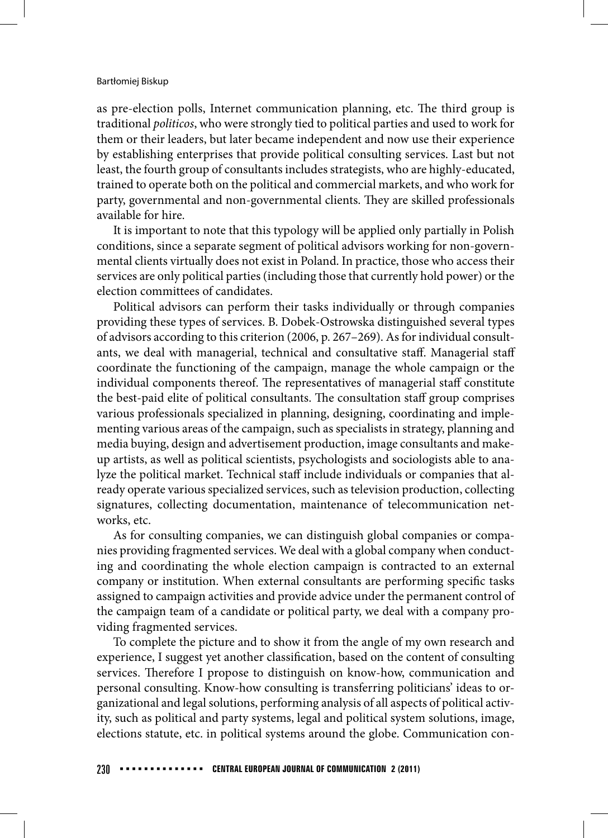#### Bartłomiej Biskup

as pre-election polls, Internet communication planning, etc. The third group is traditional *politicos*, who were strongly tied to political parties and used to work for them or their leaders, but later became independent and now use their experience by establishing enterprises that provide political consulting services. Last but not least, the fourth group of consultants includes strategists, who are highly-educated, trained to operate both on the political and commercial markets, and who work for party, governmental and non-governmental clients. They are skilled professionals available for hire.

It is important to note that this typology will be applied only partially in Polish conditions, since a separate segment of political advisors working for non-governmental clients virtually does not exist in Poland. In practice, those who access their services are only political parties (including those that currently hold power) or the election committees of candidates.

Political advisors can perform their tasks individually or through companies providing these types of services. B. Dobek-Ostrowska distinguished several types of advisors according to this criterion (2006, p. 267–269). As for individual consultants, we deal with managerial, technical and consultative staff . Managerial staff coordinate the functioning of the campaign, manage the whole campaign or the individual components thereof. The representatives of managerial staff constitute the best-paid elite of political consultants. The consultation staff group comprises various professionals specialized in planning, designing, coordinating and implementing various areas of the campaign, such as specialists in strategy, planning and media buying, design and advertisement production, image consultants and makeup artists, as well as political scientists, psychologists and sociologists able to analyze the political market. Technical staff include individuals or companies that already operate various specialized services, such as television production, collecting signatures, collecting documentation, maintenance of telecommunication networks, etc.

As for consulting companies, we can distinguish global companies or companies providing fragmented services. We deal with a global company when conducting and coordinating the whole election campaign is contracted to an external company or institution. When external consultants are performing specific tasks assigned to campaign activities and provide advice under the permanent control of the campaign team of a candidate or political party, we deal with a company providing fragmented services.

To complete the picture and to show it from the angle of my own research and experience, I suggest yet another classification, based on the content of consulting services. Therefore I propose to distinguish on know-how, communication and personal consulting. Know-how consulting is transferring politicians' ideas to organizational and legal solutions, performing analysis of all aspects of political activity, such as political and party systems, legal and political system solutions, image, elections statute, etc. in political systems around the globe. Communication con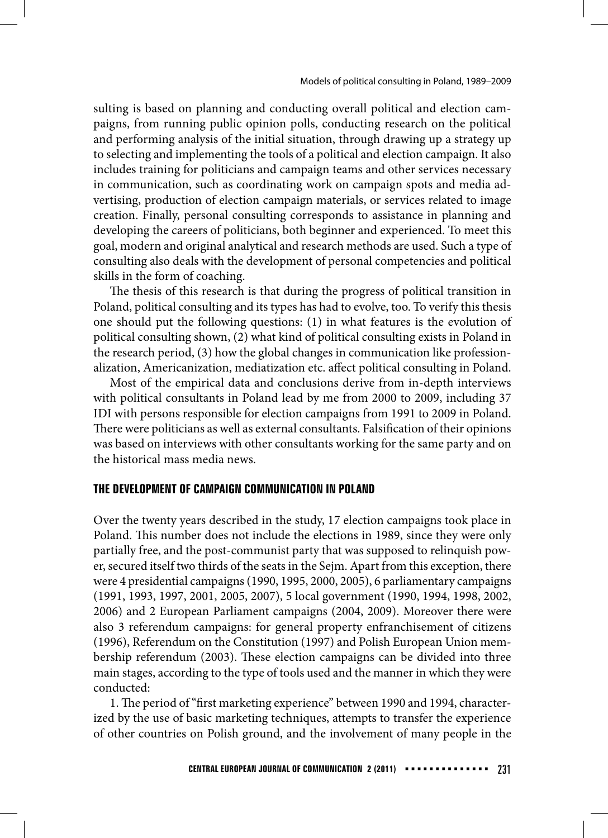sulting is based on planning and conducting overall political and election campaigns, from running public opinion polls, conducting research on the political and performing analysis of the initial situation, through drawing up a strategy up to selecting and implementing the tools of a political and election campaign. It also includes training for politicians and campaign teams and other services necessary in communication, such as coordinating work on campaign spots and media advertising, production of election campaign materials, or services related to image creation. Finally, personal consulting corresponds to assistance in planning and developing the careers of politicians, both beginner and experienced. To meet this goal, modern and original analytical and research methods are used. Such a type of consulting also deals with the development of personal competencies and political skills in the form of coaching.

The thesis of this research is that during the progress of political transition in Poland, political consulting and its types has had to evolve, too. To verify this thesis one should put the following questions: (1) in what features is the evolution of political consulting shown, (2) what kind of political consulting exists in Poland in the research period, (3) how the global changes in communication like professionalization, Americanization, mediatization etc. affect political consulting in Poland.

Most of the empirical data and conclusions derive from in-depth interviews with political consultants in Poland lead by me from 2000 to 2009, including 37 IDI with persons responsible for election campaigns from 1991 to 2009 in Poland. There were politicians as well as external consultants. Falsification of their opinions was based on interviews with other consultants working for the same party and on the historical mass media news.

## **THE DEVELOPMENT OF CAMPAIGN COMMUNICATION IN POLAND**

Over the twenty years described in the study, 17 election campaigns took place in Poland. This number does not include the elections in 1989, since they were only partially free, and the post-communist party that was supposed to relinquish power, secured itself two thirds of the seats in the Sejm. Apart from this exception, there were 4 presidential campaigns (1990, 1995, 2000, 2005), 6 parliamentary campaigns (1991, 1993, 1997, 2001, 2005, 2007), 5 local government (1990, 1994, 1998, 2002, 2006) and 2 European Parliament campaigns (2004, 2009). Moreover there were also 3 referendum campaigns: for general property enfranchisement of citizens (1996), Referendum on the Constitution (1997) and Polish European Union membership referendum (2003). These election campaigns can be divided into three main stages, according to the type of tools used and the manner in which they were conducted:

1. The period of "first marketing experience" between 1990 and 1994, characterized by the use of basic marketing techniques, attempts to transfer the experience of other countries on Polish ground, and the involvement of many people in the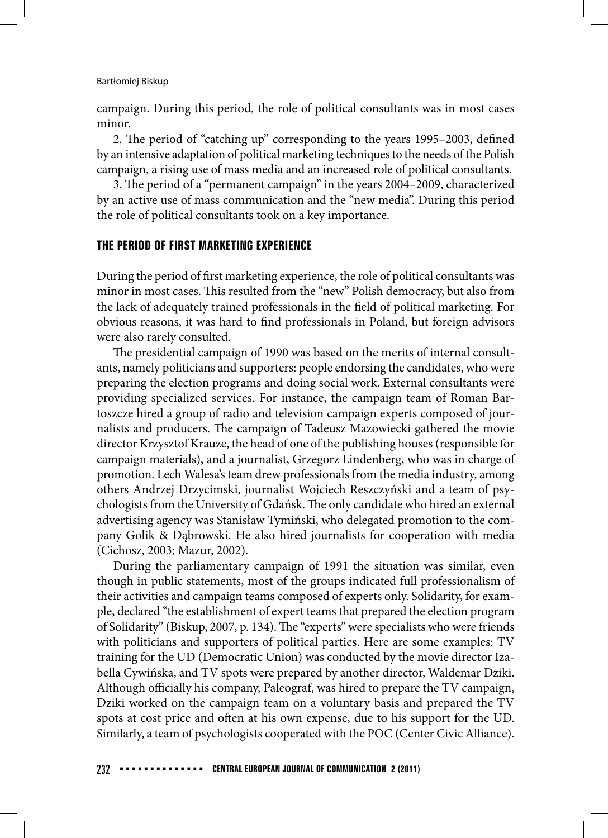campaign. During this period, the role of political consultants was in most cases minor.

2. The period of "catching up" corresponding to the years 1995–2003, defined by an intensive adaptation of political marketing techniques to the needs of the Polish campaign, a rising use of mass media and an increased role of political consultants.

3. The period of a "permanent campaign" in the years 2004–2009, characterized by an active use of mass communication and the "new media". During this period the role of political consultants took on a key importance.

## **THE PERIOD OF FIRST MARKETING EXPERIENCE**

During the period of first marketing experience, the role of political consultants was minor in most cases. This resulted from the "new" Polish democracy, but also from the lack of adequately trained professionals in the field of political marketing. For obvious reasons, it was hard to find professionals in Poland, but foreign advisors were also rarely consulted.

The presidential campaign of 1990 was based on the merits of internal consultants, namely politicians and supporters: people endorsing the candidates, who were preparing the election programs and doing social work. External consultants were providing specialized services. For instance, the campaign team of Roman Bartoszcze hired a group of radio and television campaign experts composed of journalists and producers. The campaign of Tadeusz Mazowiecki gathered the movie director Krzysztof Krauze, the head of one of the publishing houses (responsible for campaign materials), and a journalist, Grzegorz Lindenberg, who was in charge of promotion. Lech Walesa's team drew professionals from the media industry, among others Andrzej Drzycimski, journalist Wojciech Reszczyński and a team of psychologists from the University of Gdańsk. The only candidate who hired an external advertising agency was Stanisław Tymiński, who delegated promotion to the company Golik & Dąbrowski. He also hired journalists for cooperation with media (Cichosz, 2003; Mazur, 2002).

During the parliamentary campaign of 1991 the situation was similar, even though in public statements, most of the groups indicated full professionalism of their activities and campaign teams composed of experts only. Solidarity, for example, declared "the establishment of expert teams that prepared the election program of Solidarity" (Biskup, 2007, p. 134). The "experts" were specialists who were friends with politicians and supporters of political parties. Here are some examples: TV training for the UD (Democratic Union) was conducted by the movie director Izabella Cywińska, and TV spots were prepared by another director, Waldemar Dziki. Although officially his company, Paleograf, was hired to prepare the TV campaign, Dziki worked on the campaign team on a voluntary basis and prepared the TV spots at cost price and often at his own expense, due to his support for the UD. Similarly, a team of psychologists cooperated with the POC (Center Civic Alliance).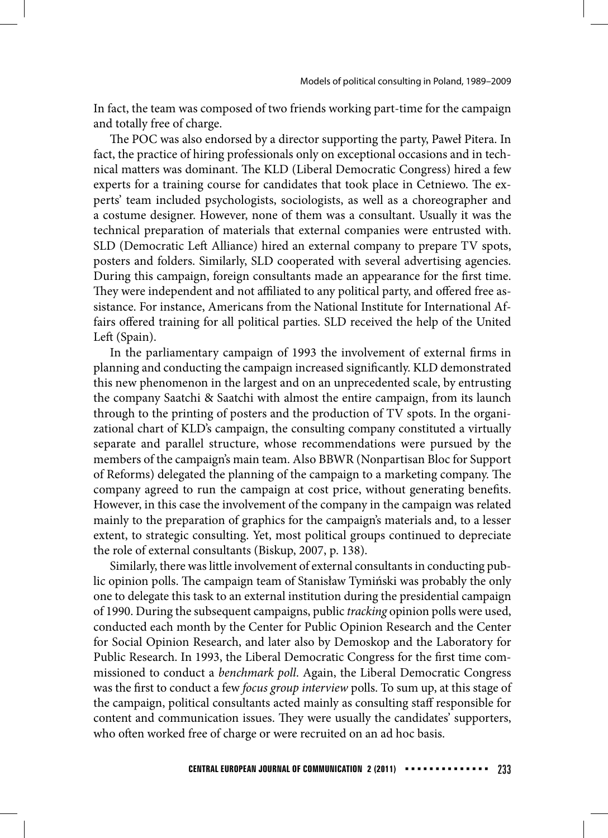In fact, the team was composed of two friends working part-time for the campaign and totally free of charge.

The POC was also endorsed by a director supporting the party, Paweł Pitera. In fact, the practice of hiring professionals only on exceptional occasions and in technical matters was dominant. The KLD (Liberal Democratic Congress) hired a few experts for a training course for candidates that took place in Cetniewo. The experts' team included psychologists, sociologists, as well as a choreographer and a costume designer. However, none of them was a consultant. Usually it was the technical preparation of materials that external companies were entrusted with. SLD (Democratic Left Alliance) hired an external company to prepare TV spots, posters and folders. Similarly, SLD cooperated with several advertising agencies. During this campaign, foreign consultants made an appearance for the first time. They were independent and not affiliated to any political party, and offered free assistance. For instance, Americans from the National Institute for International Affairs offered training for all political parties. SLD received the help of the United Left (Spain).

In the parliamentary campaign of 1993 the involvement of external firms in planning and conducting the campaign increased significantly. KLD demonstrated this new phenomenon in the largest and on an unprecedented scale, by entrusting the company Saatchi & Saatchi with almost the entire campaign, from its launch through to the printing of posters and the production of TV spots. In the organizational chart of KLD's campaign, the consulting company constituted a virtually separate and parallel structure, whose recommendations were pursued by the members of the campaign's main team. Also BBWR (Nonpartisan Bloc for Support of Reforms) delegated the planning of the campaign to a marketing company. The company agreed to run the campaign at cost price, without generating benefits. However, in this case the involvement of the company in the campaign was related mainly to the preparation of graphics for the campaign's materials and, to a lesser extent, to strategic consulting. Yet, most political groups continued to depreciate the role of external consultants (Biskup, 2007, p. 138).

Similarly, there was little involvement of external consultants in conducting public opinion polls. The campaign team of Stanisław Tymiński was probably the only one to delegate this task to an external institution during the presidential campaign of 1990. During the subsequent campaigns, public *tracking* opinion polls were used, conducted each month by the Center for Public Opinion Research and the Center for Social Opinion Research, and later also by Demoskop and the Laboratory for Public Research. In 1993, the Liberal Democratic Congress for the first time commissioned to conduct a *benchmark poll*. Again, the Liberal Democratic Congress was the first to conduct a few *focus group interview* polls. To sum up, at this stage of the campaign, political consultants acted mainly as consulting staff responsible for content and communication issues. They were usually the candidates' supporters, who often worked free of charge or were recruited on an ad hoc basis.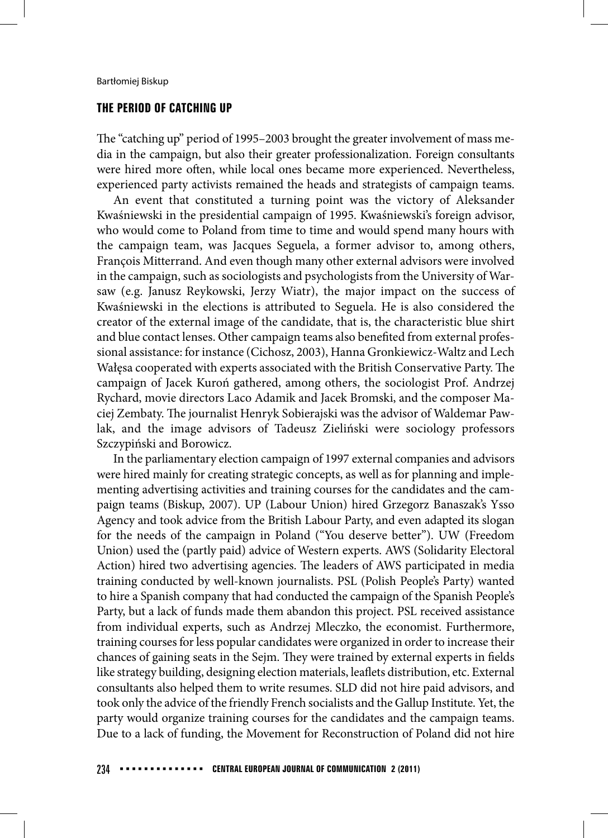## **THE PERIOD OF CATCHING UP**

The "catching up" period of 1995–2003 brought the greater involvement of mass media in the campaign, but also their greater professionalization. Foreign consultants were hired more often, while local ones became more experienced. Nevertheless, experienced party activists remained the heads and strategists of campaign teams.

An event that constituted a turning point was the victory of Aleksander Kwaśniewski in the presidential campaign of 1995. Kwaśniewski's foreign advisor, who would come to Poland from time to time and would spend many hours with the campaign team, was Jacques Seguela, a former advisor to, among others, François Mitterrand. And even though many other external advisors were involved in the campaign, such as sociologists and psychologists from the University of Warsaw (e.g. Janusz Reykowski, Jerzy Wiatr), the major impact on the success of Kwaśniewski in the elections is attributed to Seguela. He is also considered the creator of the external image of the candidate, that is, the characteristic blue shirt and blue contact lenses. Other campaign teams also benefited from external professional assistance: for instance (Cichosz, 2003), Hanna Gronkiewicz-Waltz and Lech Wałęsa cooperated with experts associated with the British Conservative Party. The campaign of Jacek Kuroń gathered, among others, the sociologist Prof. Andrzej Rychard, movie directors Laco Adamik and Jacek Bromski, and the composer Maciej Zembaty. The journalist Henryk Sobierajski was the advisor of Waldemar Pawlak, and the image advisors of Tadeusz Zieliński were sociology professors Szczypiński and Borowicz.

In the parliamentary election campaign of 1997 external companies and advisors were hired mainly for creating strategic concepts, as well as for planning and implementing advertising activities and training courses for the candidates and the campaign teams (Biskup, 2007). UP (Labour Union) hired Grzegorz Banaszak's Ysso Agency and took advice from the British Labour Party, and even adapted its slogan for the needs of the campaign in Poland ("You deserve better"). UW (Freedom Union) used the (partly paid) advice of Western experts. AWS (Solidarity Electoral Action) hired two advertising agencies. The leaders of AWS participated in media training conducted by well-known journalists. PSL (Polish People's Party) wanted to hire a Spanish company that had conducted the campaign of the Spanish People's Party, but a lack of funds made them abandon this project. PSL received assistance from individual experts, such as Andrzej Mleczko, the economist. Furthermore, training courses for less popular candidates were organized in order to increase their chances of gaining seats in the Sejm. They were trained by external experts in fields like strategy building, designing election materials, leaflets distribution, etc. External consultants also helped them to write resumes. SLD did not hire paid advisors, and took only the advice of the friendly French socialists and the Gallup Institute. Yet, the party would organize training courses for the candidates and the campaign teams. Due to a lack of funding, the Movement for Reconstruction of Poland did not hire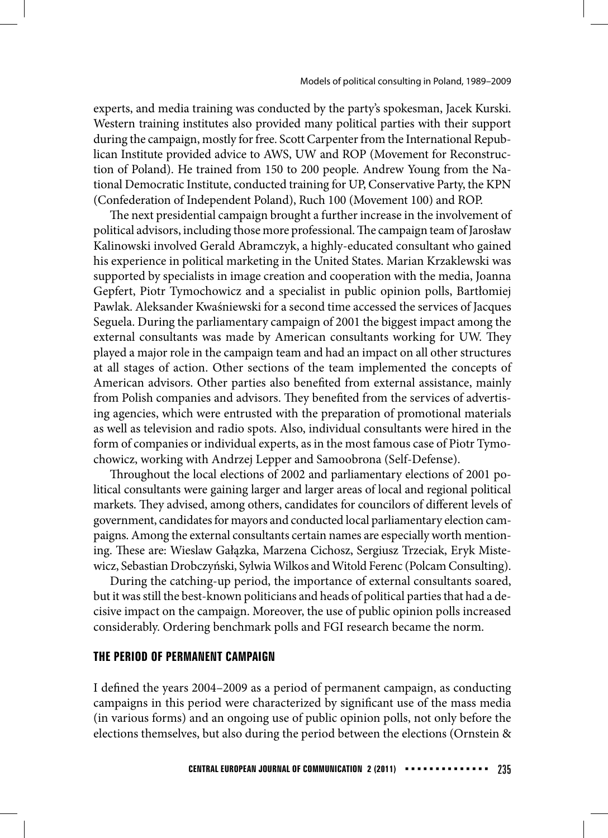experts, and media training was conducted by the party's spokesman, Jacek Kurski. Western training institutes also provided many political parties with their support during the campaign, mostly for free. Scott Carpenter from the International Republican Institute provided advice to AWS, UW and ROP (Movement for Reconstruction of Poland). He trained from 150 to 200 people. Andrew Young from the National Democratic Institute, conducted training for UP, Conservative Party, the KPN (Confederation of Independent Poland), Ruch 100 (Movement 100) and ROP.

The next presidential campaign brought a further increase in the involvement of political advisors, including those more professional. The campaign team of Jarosław Kalinowski involved Gerald Abramczyk, a highly-educated consultant who gained his experience in political marketing in the United States. Marian Krzaklewski was supported by specialists in image creation and cooperation with the media, Joanna Gepfert, Piotr Tymochowicz and a specialist in public opinion polls, Bartłomiej Pawlak. Aleksander Kwaśniewski for a second time accessed the services of Jacques Seguela. During the parliamentary campaign of 2001 the biggest impact among the external consultants was made by American consultants working for UW. They played a major role in the campaign team and had an impact on all other structures at all stages of action. Other sections of the team implemented the concepts of American advisors. Other parties also benefited from external assistance, mainly from Polish companies and advisors. They benefited from the services of advertising agencies, which were entrusted with the preparation of promotional materials as well as television and radio spots. Also, individual consultants were hired in the form of companies or individual experts, as in the most famous case of Piotr Tymochowicz, working with Andrzej Lepper and Samoobrona (Self-Defense).

Throughout the local elections of 2002 and parliamentary elections of 2001 political consultants were gaining larger and larger areas of local and regional political markets. They advised, among others, candidates for councilors of different levels of government, candidates for mayors and conducted local parliamentary election campaigns. Among the external consultants certain names are especially worth mentioning. These are: Wieslaw Gałązka, Marzena Cichosz, Sergiusz Trzeciak, Eryk Mistewicz, Sebastian Drobczyński, Sylwia Wilkos and Witold Ferenc (Polcam Consulting).

During the catching-up period, the importance of external consultants soared, but it was still the best-known politicians and heads of political parties that had a decisive impact on the campaign. Moreover, the use of public opinion polls increased considerably. Ordering benchmark polls and FGI research became the norm.

## **THE PERIOD OF PERMANENT CAMPAIGN**

I defined the years 2004–2009 as a period of permanent campaign, as conducting campaigns in this period were characterized by significant use of the mass media (in various forms) and an ongoing use of public opinion polls, not only before the elections themselves, but also during the period between the elections (Ornstein &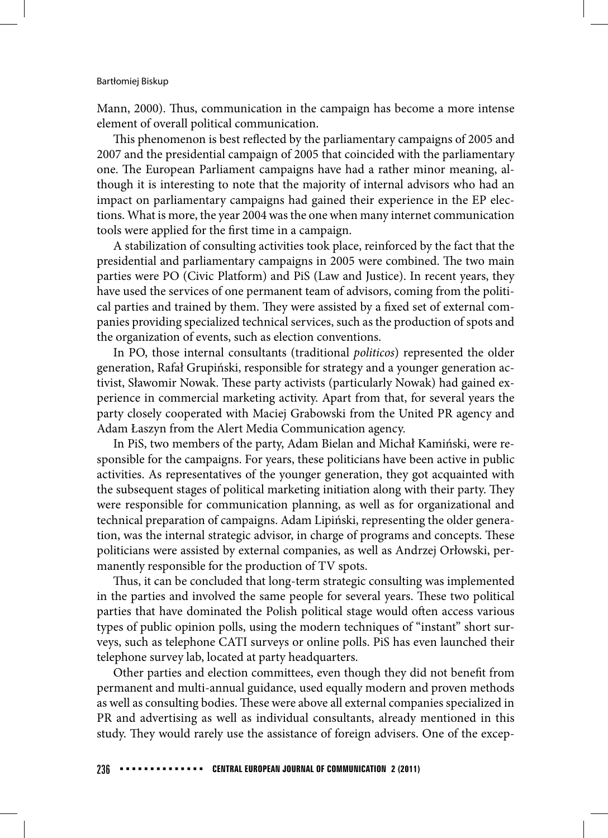Mann, 2000). Thus, communication in the campaign has become a more intense element of overall political communication.

This phenomenon is best reflected by the parliamentary campaigns of 2005 and 2007 and the presidential campaign of 2005 that coincided with the parliamentary one. The European Parliament campaigns have had a rather minor meaning, although it is interesting to note that the majority of internal advisors who had an impact on parliamentary campaigns had gained their experience in the EP elections. What is more, the year 2004 was the one when many internet communication tools were applied for the first time in a campaign.

A stabilization of consulting activities took place, reinforced by the fact that the presidential and parliamentary campaigns in 2005 were combined. The two main parties were PO (Civic Platform) and PiS (Law and Justice). In recent years, they have used the services of one permanent team of advisors, coming from the political parties and trained by them. They were assisted by a fixed set of external companies providing specialized technical services, such as the production of spots and the organization of events, such as election conventions.

In PO, those internal consultants (traditional *politicos*) represented the older generation, Rafał Grupiński, responsible for strategy and a younger generation activist, Sławomir Nowak. These party activists (particularly Nowak) had gained experience in commercial marketing activity. Apart from that, for several years the party closely cooperated with Maciej Grabowski from the United PR agency and Adam Łaszyn from the Alert Media Communication agency.

In PiS, two members of the party, Adam Bielan and Michał Kamiński, were responsible for the campaigns. For years, these politicians have been active in public activities. As representatives of the younger generation, they got acquainted with the subsequent stages of political marketing initiation along with their party. They were responsible for communication planning, as well as for organizational and technical preparation of campaigns. Adam Lipiński, representing the older generation, was the internal strategic advisor, in charge of programs and concepts. These politicians were assisted by external companies, as well as Andrzej Orłowski, permanently responsible for the production of TV spots.

Thus, it can be concluded that long-term strategic consulting was implemented in the parties and involved the same people for several years. These two political parties that have dominated the Polish political stage would often access various types of public opinion polls, using the modern techniques of "instant" short surveys, such as telephone CATI surveys or online polls. PiS has even launched their telephone survey lab, located at party headquarters.

Other parties and election committees, even though they did not benefit from permanent and multi-annual guidance, used equally modern and proven methods as well as consulting bodies. These were above all external companies specialized in PR and advertising as well as individual consultants, already mentioned in this study. They would rarely use the assistance of foreign advisers. One of the excep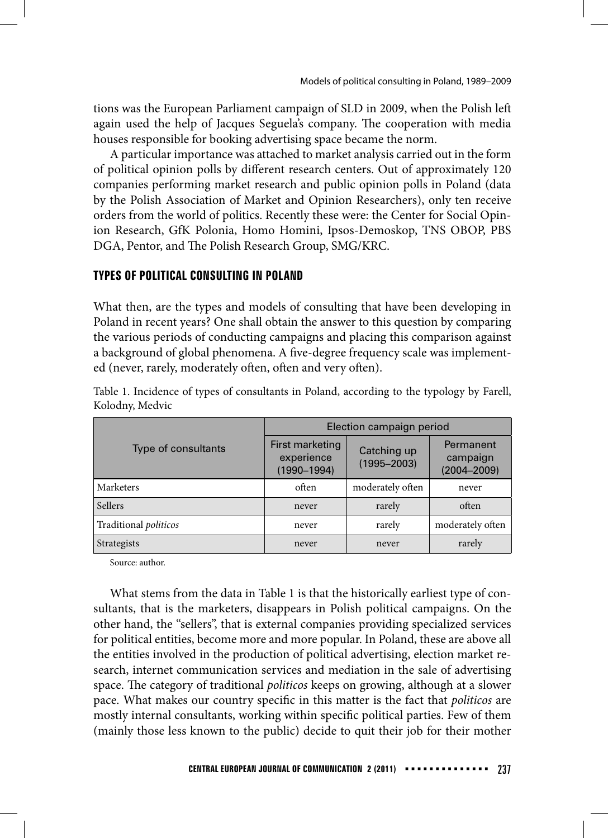tions was the European Parliament campaign of SLD in 2009, when the Polish left again used the help of Jacques Seguela's company. The cooperation with media houses responsible for booking advertising space became the norm.

A particular importance was attached to market analysis carried out in the form of political opinion polls by different research centers. Out of approximately 120 companies performing market research and public opinion polls in Poland (data by the Polish Association of Market and Opinion Researchers), only ten receive orders from the world of politics. Recently these were: the Center for Social Opinion Research, GfK Polonia, Homo Homini, Ipsos-Demoskop, TNS OBOP, PBS DGA, Pentor, and The Polish Research Group, SMG/KRC.

# **TYPES OF POLITICAL CONSULTING IN POLAND**

What then, are the types and models of consulting that have been developing in Poland in recent years? One shall obtain the answer to this question by comparing the various periods of conducting campaigns and placing this comparison against a background of global phenomena. A five-degree frequency scale was implemented (never, rarely, moderately often, often and very often).

|                              | Election campaign period                         |                                |                                          |  |
|------------------------------|--------------------------------------------------|--------------------------------|------------------------------------------|--|
| Type of consultants          | First marketing<br>experience<br>$(1990 - 1994)$ | Catching up<br>$(1995 - 2003)$ | Permanent<br>campaign<br>$(2004 - 2009)$ |  |
| Marketers                    | often                                            | moderately often               | never                                    |  |
| <b>Sellers</b>               | never                                            | rarely                         | often                                    |  |
| Traditional <i>politicos</i> | rarely<br>never                                  |                                | moderately often                         |  |
| Strategists                  | never                                            | never                          | rarely                                   |  |

Table 1. Incidence of types of consultants in Poland, according to the typology by Farell, Kolodny, Medvic

Source: author.

What stems from the data in Table 1 is that the historically earliest type of consultants, that is the marketers, disappears in Polish political campaigns. On the other hand, the "sellers", that is external companies providing specialized services for political entities, become more and more popular. In Poland, these are above all the entities involved in the production of political advertising, election market research, internet communication services and mediation in the sale of advertising space. The category of traditional *politicos* keeps on growing, although at a slower pace. What makes our country specific in this matter is the fact that *politicos* are mostly internal consultants, working within specific political parties. Few of them (mainly those less known to the public) decide to quit their job for their mother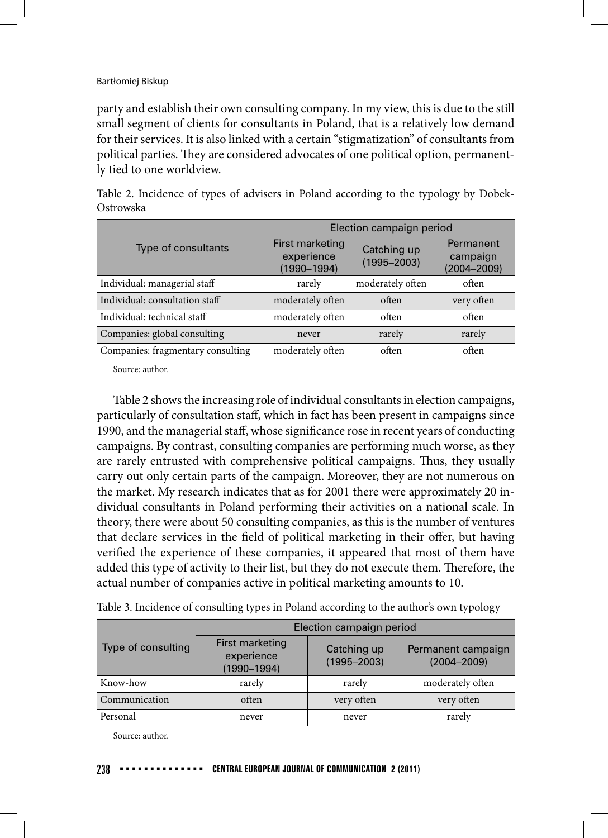party and establish their own consulting company. In my view, this is due to the still small segment of clients for consultants in Poland, that is a relatively low demand for their services. It is also linked with a certain "stigmatization" of consultants from political parties. They are considered advocates of one political option, permanently tied to one worldview.

|                                   | Election campaign period                         |                                |                                          |  |
|-----------------------------------|--------------------------------------------------|--------------------------------|------------------------------------------|--|
| Type of consultants               | First marketing<br>experience<br>$(1990 - 1994)$ | Catching up<br>$(1995 - 2003)$ | Permanent<br>campaign<br>$(2004 - 2009)$ |  |
| Individual: managerial staff      | rarely                                           | moderately often               | often                                    |  |
| Individual: consultation staff    | moderately often                                 | often                          | very often                               |  |
| Individual: technical staff       | moderately often                                 | often                          | often                                    |  |
| Companies: global consulting      | never                                            | rarely                         | rarely                                   |  |
| Companies: fragmentary consulting | moderately often                                 | often                          | often                                    |  |

Table 2. Incidence of types of advisers in Poland according to the typology by Dobek-Ostrowska

Source: author.

Table 2 shows the increasing role of individual consultants in election campaigns, particularly of consultation staff, which in fact has been present in campaigns since 1990, and the managerial staff, whose significance rose in recent years of conducting campaigns. By contrast, consulting companies are performing much worse, as they are rarely entrusted with comprehensive political campaigns. Thus, they usually carry out only certain parts of the campaign. Moreover, they are not numerous on the market. My research indicates that as for 2001 there were approximately 20 individual consultants in Poland performing their activities on a national scale. In theory, there were about 50 consulting companies, as this is the number of ventures that declare services in the field of political marketing in their offer, but having verified the experience of these companies, it appeared that most of them have added this type of activity to their list, but they do not execute them. Therefore, the actual number of companies active in political marketing amounts to 10.

| Type of consulting | Election campaign period                     |                                |                                       |  |
|--------------------|----------------------------------------------|--------------------------------|---------------------------------------|--|
|                    | First marketing<br>experience<br>(1990-1994) | Catching up<br>$(1995 - 2003)$ | Permanent campaign<br>$(2004 - 2009)$ |  |
| Know-how           | rarely                                       | rarely                         | moderately often                      |  |
| Communication      | often                                        | very often                     | very often                            |  |
| Personal           | never                                        | never                          | rarely                                |  |

Table 3. Incidence of consulting types in Poland according to the author's own typology

Source: author.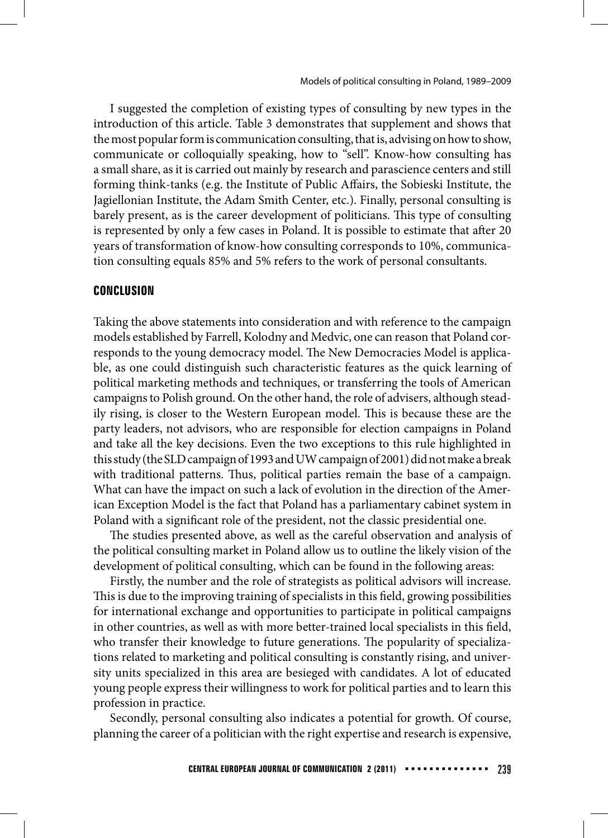I suggested the completion of existing types of consulting by new types in the introduction of this article. Table 3 demonstrates that supplement and shows that the most popular form is communication consulting, that is, advising on how to show, communicate or colloquially speaking, how to "sell". Know-how consulting has a small share, as it is carried out mainly by research and parascience centers and still forming think-tanks (e.g. the Institute of Public Affairs, the Sobieski Institute, the Jagiellonian Institute, the Adam Smith Center, etc.). Finally, personal consulting is barely present, as is the career development of politicians. This type of consulting is represented by only a few cases in Poland. It is possible to estimate that after 20 years of transformation of know-how consulting corresponds to 10%, communication consulting equals 85% and 5% refers to the work of personal consultants.

# **CONCLUSION**

Taking the above statements into consideration and with reference to the campaign models established by Farrell, Kolodny and Medvic, one can reason that Poland corresponds to the young democracy model. The New Democracies Model is applicable, as one could distinguish such characteristic features as the quick learning of political marketing methods and techniques, or transferring the tools of American campaigns to Polish ground. On the other hand, the role of advisers, although steadily rising, is closer to the Western European model. This is because these are the party leaders, not advisors, who are responsible for election campaigns in Poland and take all the key decisions. Even the two exceptions to this rule highlighted in this study (the SLD campaign of 1993 and UW campaign of 2001) did not make a break with traditional patterns. Thus, political parties remain the base of a campaign. What can have the impact on such a lack of evolution in the direction of the American Exception Model is the fact that Poland has a parliamentary cabinet system in Poland with a significant role of the president, not the classic presidential one.

The studies presented above, as well as the careful observation and analysis of the political consulting market in Poland allow us to outline the likely vision of the development of political consulting, which can be found in the following areas:

Firstly, the number and the role of strategists as political advisors will increase. This is due to the improving training of specialists in this field, growing possibilities for international exchange and opportunities to participate in political campaigns in other countries, as well as with more better-trained local specialists in this field, who transfer their knowledge to future generations. The popularity of specializations related to marketing and political consulting is constantly rising, and university units specialized in this area are besieged with candidates. A lot of educated young people express their willingness to work for political parties and to learn this profession in practice.

Secondly, personal consulting also indicates a potential for growth. Of course, planning the career of a politician with the right expertise and research is expensive,